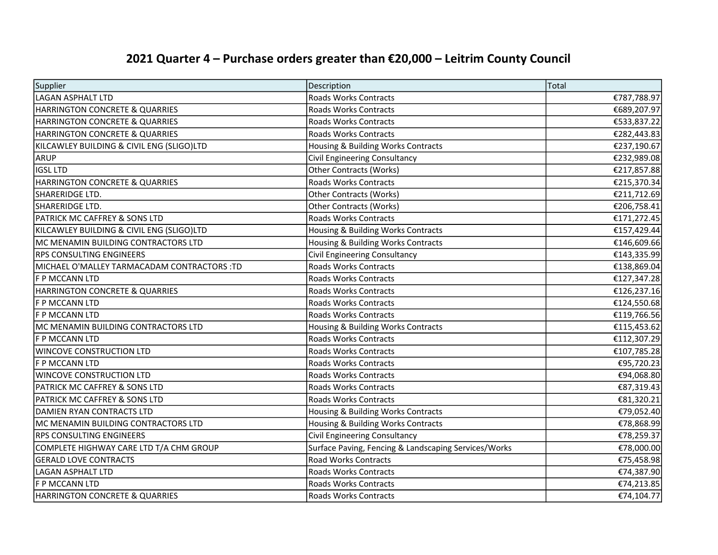| Supplier                                    | Description                                          | Total       |
|---------------------------------------------|------------------------------------------------------|-------------|
| LAGAN ASPHALT LTD                           | Roads Works Contracts                                | €787,788.97 |
| HARRINGTON CONCRETE & QUARRIES              | Roads Works Contracts                                | €689,207.97 |
| <b>HARRINGTON CONCRETE &amp; QUARRIES</b>   | <b>Roads Works Contracts</b>                         | €533,837.22 |
| HARRINGTON CONCRETE & QUARRIES              | Roads Works Contracts                                | €282,443.83 |
| KILCAWLEY BUILDING & CIVIL ENG (SLIGO)LTD   | Housing & Building Works Contracts                   | €237,190.67 |
| ARUP                                        | Civil Engineering Consultancy                        | €232,989.08 |
| <b>IGSL LTD</b>                             | Other Contracts (Works)                              | €217,857.88 |
| HARRINGTON CONCRETE & QUARRIES              | <b>Roads Works Contracts</b>                         | €215,370.34 |
| SHARERIDGE LTD.                             | <b>Other Contracts (Works)</b>                       | €211,712.69 |
| SHARERIDGE LTD.                             | <b>Other Contracts (Works)</b>                       | €206,758.41 |
| <b>PATRICK MC CAFFREY &amp; SONS LTD</b>    | <b>Roads Works Contracts</b>                         | €171,272.45 |
| KILCAWLEY BUILDING & CIVIL ENG (SLIGO)LTD   | Housing & Building Works Contracts                   | €157,429.44 |
| MC MENAMIN BUILDING CONTRACTORS LTD         | Housing & Building Works Contracts                   | €146,609.66 |
| <b>RPS CONSULTING ENGINEERS</b>             | Civil Engineering Consultancy                        | €143,335.99 |
| MICHAEL O'MALLEY TARMACADAM CONTRACTORS :TD | <b>Roads Works Contracts</b>                         | €138,869.04 |
| F P MCCANN LTD                              | <b>Roads Works Contracts</b>                         | €127,347.28 |
| <b>HARRINGTON CONCRETE &amp; QUARRIES</b>   | Roads Works Contracts                                | €126,237.16 |
| F P MCCANN LTD                              | <b>Roads Works Contracts</b>                         | €124,550.68 |
| <b>F P MCCANN LTD</b>                       | <b>Roads Works Contracts</b>                         | €119,766.56 |
| MC MENAMIN BUILDING CONTRACTORS LTD         | Housing & Building Works Contracts                   | €115,453.62 |
| F P MCCANN LTD                              | Roads Works Contracts                                | €112,307.29 |
| <b>WINCOVE CONSTRUCTION LTD</b>             | Roads Works Contracts                                | €107,785.28 |
| F P MCCANN LTD                              | <b>Roads Works Contracts</b>                         | €95,720.23  |
| WINCOVE CONSTRUCTION LTD                    | Roads Works Contracts                                | €94,068.80  |
| <b>PATRICK MC CAFFREY &amp; SONS LTD</b>    | <b>Roads Works Contracts</b>                         | €87,319.43  |
| PATRICK MC CAFFREY & SONS LTD               | Roads Works Contracts                                | €81,320.21  |
| DAMIEN RYAN CONTRACTS LTD                   | Housing & Building Works Contracts                   | €79,052.40  |
| MC MENAMIN BUILDING CONTRACTORS LTD         | Housing & Building Works Contracts                   | €78,868.99  |
| <b>RPS CONSULTING ENGINEERS</b>             | Civil Engineering Consultancy                        | €78,259.37  |
| COMPLETE HIGHWAY CARE LTD T/A CHM GROUP     | Surface Paving, Fencing & Landscaping Services/Works | €78,000.00  |
| <b>GERALD LOVE CONTRACTS</b>                | <b>Road Works Contracts</b>                          | €75,458.98  |
| LAGAN ASPHALT LTD                           | Roads Works Contracts                                | €74,387.90  |
| F P MCCANN LTD                              | Roads Works Contracts                                | €74,213.85  |
| HARRINGTON CONCRETE & QUARRIES              | Roads Works Contracts                                | €74,104.77  |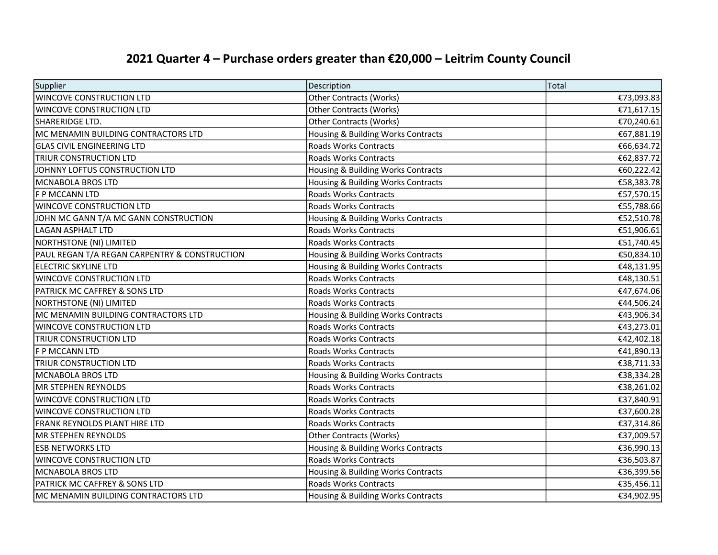| Supplier                                      | Description                        | Total      |
|-----------------------------------------------|------------------------------------|------------|
| <b>WINCOVE CONSTRUCTION LTD</b>               | <b>Other Contracts (Works)</b>     | €73,093.83 |
| <b>WINCOVE CONSTRUCTION LTD</b>               | Other Contracts (Works)            | €71,617.15 |
| SHARERIDGE LTD.                               | <b>Other Contracts (Works)</b>     | €70,240.61 |
| MC MENAMIN BUILDING CONTRACTORS LTD           | Housing & Building Works Contracts | €67,881.19 |
| <b>GLAS CIVIL ENGINEERING LTD</b>             | Roads Works Contracts              | €66,634.72 |
| <b>TRIUR CONSTRUCTION LTD</b>                 | Roads Works Contracts              | €62,837.72 |
| JOHNNY LOFTUS CONSTRUCTION LTD                | Housing & Building Works Contracts | €60,222.42 |
| MCNABOLA BROS LTD                             | Housing & Building Works Contracts | €58,383.78 |
| F P MCCANN LTD                                | <b>Roads Works Contracts</b>       | €57,570.15 |
| <b>WINCOVE CONSTRUCTION LTD</b>               | <b>Roads Works Contracts</b>       | €55,788.66 |
| JOHN MC GANN T/A MC GANN CONSTRUCTION         | Housing & Building Works Contracts | €52,510.78 |
| LAGAN ASPHALT LTD                             | Roads Works Contracts              | €51,906.61 |
| NORTHSTONE (NI) LIMITED                       | Roads Works Contracts              | €51,740.45 |
| PAUL REGAN T/A REGAN CARPENTRY & CONSTRUCTION | Housing & Building Works Contracts | €50,834.10 |
| ELECTRIC SKYLINE LTD                          | Housing & Building Works Contracts | €48,131.95 |
| WINCOVE CONSTRUCTION LTD                      | <b>Roads Works Contracts</b>       | €48,130.51 |
| <b>PATRICK MC CAFFREY &amp; SONS LTD</b>      | <b>Roads Works Contracts</b>       | €47,674.06 |
| NORTHSTONE (NI) LIMITED                       | <b>Roads Works Contracts</b>       | €44,506.24 |
| MC MENAMIN BUILDING CONTRACTORS LTD           | Housing & Building Works Contracts | €43,906.34 |
| <b>WINCOVE CONSTRUCTION LTD</b>               | <b>Roads Works Contracts</b>       | €43,273.01 |
| <b>TRIUR CONSTRUCTION LTD</b>                 | Roads Works Contracts              | €42,402.18 |
| F P MCCANN LTD                                | <b>Roads Works Contracts</b>       | €41,890.13 |
| <b>TRIUR CONSTRUCTION LTD</b>                 | Roads Works Contracts              | €38,711.33 |
| MCNABOLA BROS LTD                             | Housing & Building Works Contracts | €38,334.28 |
| MR STEPHEN REYNOLDS                           | <b>Roads Works Contracts</b>       | €38,261.02 |
| <b>WINCOVE CONSTRUCTION LTD</b>               | <b>Roads Works Contracts</b>       | €37,840.91 |
| <b>WINCOVE CONSTRUCTION LTD</b>               | <b>Roads Works Contracts</b>       | €37,600.28 |
| <b>FRANK REYNOLDS PLANT HIRE LTD</b>          | Roads Works Contracts              | €37,314.86 |
| MR STEPHEN REYNOLDS                           | <b>Other Contracts (Works)</b>     | €37,009.57 |
| <b>ESB NETWORKS LTD</b>                       | Housing & Building Works Contracts | €36,990.13 |
| WINCOVE CONSTRUCTION LTD                      | Roads Works Contracts              | €36,503.87 |
| MCNABOLA BROS LTD                             | Housing & Building Works Contracts | €36,399.56 |
| PATRICK MC CAFFREY & SONS LTD                 | <b>Roads Works Contracts</b>       | €35,456.11 |
| MC MENAMIN BUILDING CONTRACTORS LTD           | Housing & Building Works Contracts | €34,902.95 |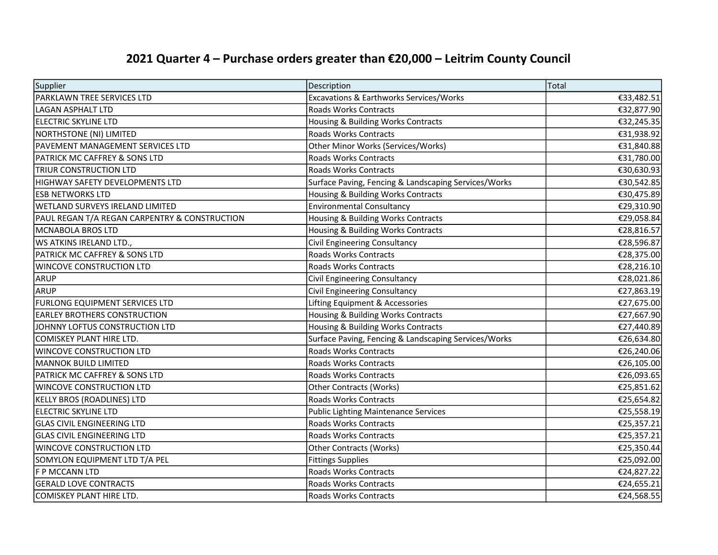| Supplier                                      | Description                                          | Total      |
|-----------------------------------------------|------------------------------------------------------|------------|
| PARKLAWN TREE SERVICES LTD                    | Excavations & Earthworks Services/Works              | €33,482.51 |
| LAGAN ASPHALT LTD                             | <b>Roads Works Contracts</b>                         | €32,877.90 |
| <b>ELECTRIC SKYLINE LTD</b>                   | Housing & Building Works Contracts                   | €32,245.35 |
| NORTHSTONE (NI) LIMITED                       | <b>Roads Works Contracts</b>                         | €31,938.92 |
| PAVEMENT MANAGEMENT SERVICES LTD              | Other Minor Works (Services/Works)                   | €31,840.88 |
| <b>PATRICK MC CAFFREY &amp; SONS LTD</b>      | <b>Roads Works Contracts</b>                         | €31,780.00 |
| <b>TRIUR CONSTRUCTION LTD</b>                 | <b>Roads Works Contracts</b>                         | €30,630.93 |
| HIGHWAY SAFETY DEVELOPMENTS LTD               | Surface Paving, Fencing & Landscaping Services/Works | €30,542.85 |
| <b>ESB NETWORKS LTD</b>                       | Housing & Building Works Contracts                   | €30,475.89 |
| WETLAND SURVEYS IRELAND LIMITED               | <b>Environmental Consultancy</b>                     | €29,310.90 |
| PAUL REGAN T/A REGAN CARPENTRY & CONSTRUCTION | Housing & Building Works Contracts                   | €29,058.84 |
| MCNABOLA BROS LTD                             | Housing & Building Works Contracts                   | €28,816.57 |
| WS ATKINS IRELAND LTD.,                       | Civil Engineering Consultancy                        | €28,596.87 |
| <b>PATRICK MC CAFFREY &amp; SONS LTD</b>      | Roads Works Contracts                                | €28,375.00 |
| <b>WINCOVE CONSTRUCTION LTD</b>               | <b>Roads Works Contracts</b>                         | €28,216.10 |
| ARUP                                          | Civil Engineering Consultancy                        | €28,021.86 |
| <b>ARUP</b>                                   | Civil Engineering Consultancy                        | €27,863.19 |
| <b>FURLONG EQUIPMENT SERVICES LTD</b>         | Lifting Equipment & Accessories                      | €27,675.00 |
| <b>EARLEY BROTHERS CONSTRUCTION</b>           | Housing & Building Works Contracts                   | €27,667.90 |
| JOHNNY LOFTUS CONSTRUCTION LTD                | Housing & Building Works Contracts                   | €27,440.89 |
| COMISKEY PLANT HIRE LTD.                      | Surface Paving, Fencing & Landscaping Services/Works | €26,634.80 |
| <b>WINCOVE CONSTRUCTION LTD</b>               | <b>Roads Works Contracts</b>                         | €26,240.06 |
| MANNOK BUILD LIMITED                          | <b>Roads Works Contracts</b>                         | €26,105.00 |
| <b>PATRICK MC CAFFREY &amp; SONS LTD</b>      | <b>Roads Works Contracts</b>                         | €26,093.65 |
| <b>WINCOVE CONSTRUCTION LTD</b>               | <b>Other Contracts (Works)</b>                       | €25,851.62 |
| KELLY BROS (ROADLINES) LTD                    | Roads Works Contracts                                | €25,654.82 |
| <b>ELECTRIC SKYLINE LTD</b>                   | <b>Public Lighting Maintenance Services</b>          | €25,558.19 |
| <b>GLAS CIVIL ENGINEERING LTD</b>             | Roads Works Contracts                                | €25,357.21 |
| <b>GLAS CIVIL ENGINEERING LTD</b>             | Roads Works Contracts                                | €25,357.21 |
| <b>WINCOVE CONSTRUCTION LTD</b>               | <b>Other Contracts (Works)</b>                       | €25,350.44 |
| SOMYLON EQUIPMENT LTD T/A PEL                 | <b>Fittings Supplies</b>                             | €25,092.00 |
| F P MCCANN LTD                                | <b>Roads Works Contracts</b>                         | €24,827.22 |
| <b>GERALD LOVE CONTRACTS</b>                  | Roads Works Contracts                                | €24,655.21 |
| COMISKEY PLANT HIRE LTD.                      | <b>Roads Works Contracts</b>                         | €24,568.55 |